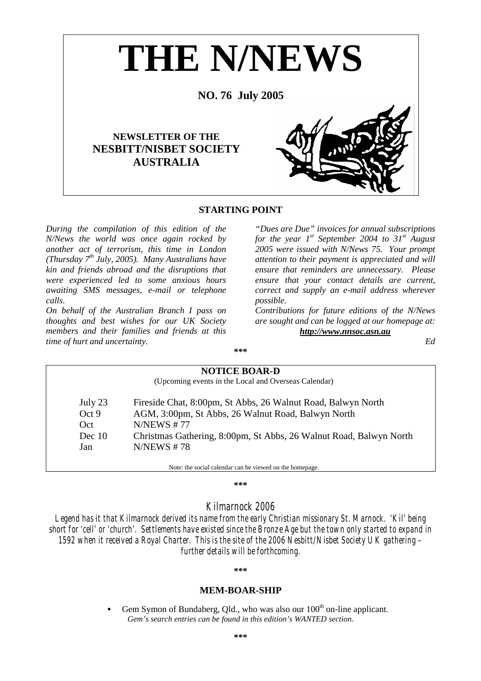

# **STARTING POINT**

*During the compilation of this edition of the N/News the world was once again rocked by another act of terrorism, this time in London (Thursday 7th July, 2005). Many Australians have kin and friends abroad and the disruptions that were experienced led to some anxious hours awaiting SMS messages, e-mail or telephone calls.* 

*On behalf of the Australian Branch I pass on thoughts and best wishes for our UK Society members and their families and friends at this time of hurt and uncertainty.* 

*"Dues are Due" invoices for annual subscriptions for the year 1st September 2004 to 31st August 2005 were issued with N/News 75. Your prompt attention to their payment is appreciated and will ensure that reminders are unnecessary. Please ensure that your contact details are current, correct and supply an e-mail address wherever possible.* 

*Contributions for future editions of the N/News are sought and can be logged at our homepage at: http://www.nnsoc.asn.au*

*Ed*

# **NOTICE BOAR-D**  (Upcoming events in the Local and Overseas Calendar) July 23 Fireside Chat, 8:00pm, St Abbs, 26 Walnut Road, Balwyn North Oct 9 AGM, 3:00pm, St Abbs, 26 Walnut Road, Balwyn North Oct N/NEWS # 77 Dec 10 Christmas Gathering, 8:00pm, St Abbs, 26 Walnut Road, Balwyn North Jan N/NEWS # 78 Note: the social calendar can be viewed on the homepage.

**\*\*\*** 

**\*\*\*** 

# *Kilmarnock 2006*

*Legend has it that Kilmarnock derived its name from the early Christian missionary St. Marnock. 'Kil' being short for 'cell' or 'church'. Settlements have existed since the Bronze Age but the town only started to expand in 1592 when it received a Royal Charter. This is the site of the 2006 Nesbitt/Nisbet Society UK gathering – further details will be forthcoming.* 

#### **\*\*\***

### **MEM-BOAR-SHIP**

Gem Symon of Bundaberg, Old., who was also our 100<sup>th</sup> on-line applicant. *Gem's search entries can be found in this edition's WANTED section.*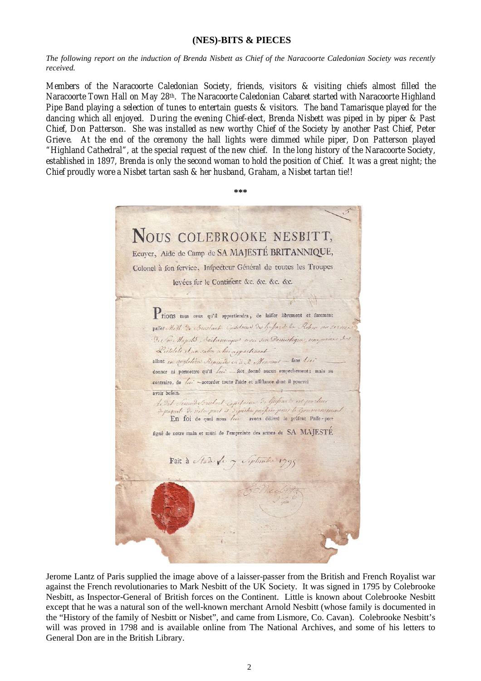# **(NES)-BITS & PIECES**

*The following report on the induction of Brenda Nisbett as Chief of the Naracoorte Caledonian Society was recently received.* 

*Members of the Naracoorte Caledonian Society, friends, visitors & visiting chiefs almost filled the Naracoorte Town Hall on May 28th. The Naracoorte Caledonian Cabaret started with Naracoorte Highland Pipe Band playing a selection of tunes to entertain guests & visitors. The band Tamarisque played for the dancing which all enjoyed. During the evening Chief-elect, Brenda Nisbett was piped in by piper & Past Chief, Don Patterson. She was installed as new worthy Chief of the Society by another Past Chief, Peter Grieve. At the end of the ceremony the hall lights were dimmed while piper, Don Patterson played "Highland Cathedral", at the special request of the new chief. In the long history of the Naracoorte Society, established in 1897, Brenda is only the second woman to hold the position of Chief. It was a great night; the Chief proudly wore a Nisbet tartan sash & her husband, Graham, a Nisbet tartan tie!!* 

**\*\*\*** 

NOUS COLEBROOKE NESBITT, Ecuyer, Aide de Camp de SA MAJESTÉ BRITANNIQUE, Colonel à fon fervice, Infpecteur Général de toutes les Troupes levées fur le Continent &c. &c. &c. &c. Prions tous ceux qu'il appartiendra, de laisser librement et furement patter. M.M. En Bouslant Considering Dis Lubards de Robert ou service De Co Majelo Bailanniques una son Domestique, une paine , 2. Listelets Aun salen a his appartenant allant en augleline Reminder c. à R Monsines - fans Arri donner ni permettre qu'il / / de donné aucun empechement; mais au contraire, de /// -accorder toute l'aide et affiftance dont il pourroi avoir befoin. Ledit channel Brutant Expelaine De Guspards in proclus raquet de notor part et depictes parties pour le Gouvernement. En foi de quoi nous //// avons délivre le préfent Paffe-port figné de notre main et muni de l'empreinte des armes de SA MAJESTÉ Fait à Nade for y September 1795

Jerome Lantz of Paris supplied the image above of a laisser-passer from the British and French Royalist war against the French revolutionaries to Mark Nesbitt of the UK Society. It was signed in 1795 by Colebrooke Nesbitt, as Inspector-General of British forces on the Continent. Little is known about Colebrooke Nesbitt except that he was a natural son of the well-known merchant Arnold Nesbitt (whose family is documented in the "History of the family of Nesbitt or Nisbet", and came from Lismore, Co. Cavan). Colebrooke Nesbitt's will was proved in 1798 and is available online from The National Archives, and some of his letters to General Don are in the British Library.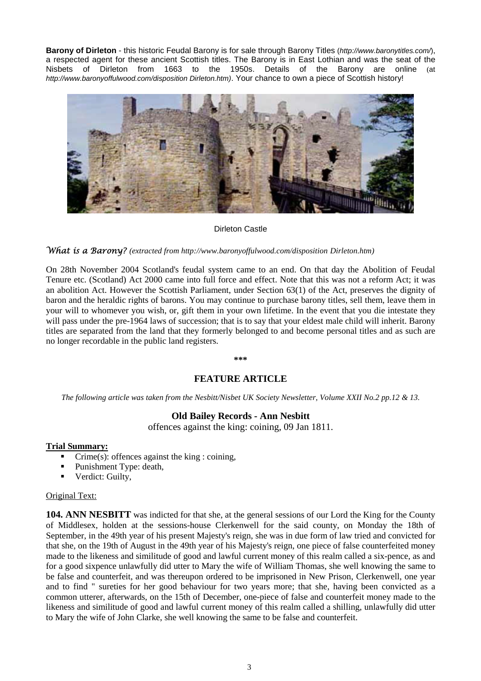**Barony of Dirleton** - this historic Feudal Barony is for sale through Barony Titles (*http://www.baronytitles.com/*), a respected agent for these ancient Scottish titles. The Barony is in East Lothian and was the seat of the Nisbets of Dirleton from 1663 to the 1950s. Details of the Barony are online (at *http://www.baronyoffulwood.com/disposition Dirleton.htm)*. Your chance to own a piece of Scottish history!



### Dirleton Castle

### What is a Barony? *(extracted from http://www.baronyoffulwood.com/disposition Dirleton.htm)*

On 28th November 2004 Scotland's feudal system came to an end. On that day the Abolition of Feudal Tenure etc. (Scotland) Act 2000 came into full force and effect. Note that this was not a reform Act; it was an abolition Act. However the Scottish Parliament, under Section 63(1) of the Act, preserves the dignity of baron and the heraldic rights of barons. You may continue to purchase barony titles, sell them, leave them in your will to whomever you wish, or, gift them in your own lifetime. In the event that you die intestate they will pass under the pre-1964 laws of succession; that is to say that your eldest male child will inherit. Barony titles are separated from the land that they formerly belonged to and become personal titles and as such are no longer recordable in the public land registers.

#### **\*\*\***

# **FEATURE ARTICLE**

*The following article was taken from the Nesbitt/Nisbet UK Society Newsletter, Volume XXII No.2 pp.12 & 13.* 

# **Old Bailey Records - Ann Nesbitt**

offences against the king: coining, 09 Jan 1811.

### **Trial Summary:**

- Crime(s): offences against the king : coining,
- Punishment Type: death,
- **•** Verdict: Guilty,

# Original Text:

**104. ANN NESBITT** was indicted for that she, at the general sessions of our Lord the King for the County of Middlesex, holden at the sessions-house Clerkenwell for the said county, on Monday the 18th of September, in the 49th year of his present Majesty's reign, she was in due form of law tried and convicted for that she, on the 19th of August in the 49th year of his Majesty's reign, one piece of false counterfeited money made to the likeness and similitude of good and lawful current money of this realm called a six-pence, as and for a good sixpence unlawfully did utter to Mary the wife of William Thomas, she well knowing the same to be false and counterfeit, and was thereupon ordered to be imprisoned in New Prison, Clerkenwell, one year and to find " sureties for her good behaviour for two years more; that she, having been convicted as a common utterer, afterwards, on the 15th of December, one-piece of false and counterfeit money made to the likeness and similitude of good and lawful current money of this realm called a shilling, unlawfully did utter to Mary the wife of John Clarke, she well knowing the same to be false and counterfeit.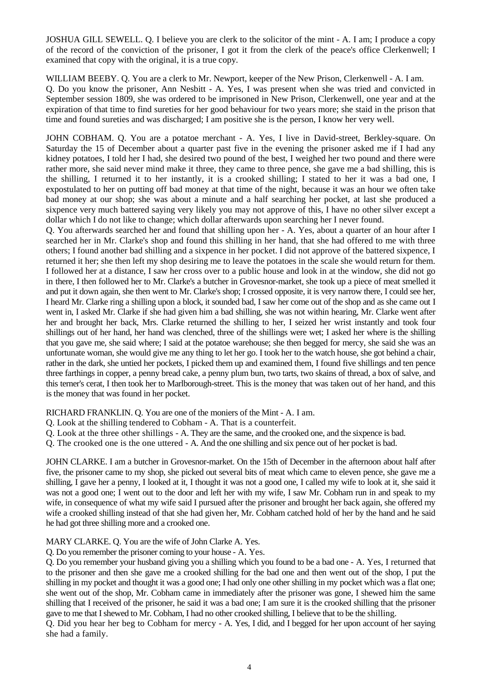JOSHUA GILL SEWELL. Q. I believe you are clerk to the solicitor of the mint - A. I am; I produce a copy of the record of the conviction of the prisoner, I got it from the clerk of the peace's office Clerkenwell; I examined that copy with the original, it is a true copy.

WILLIAM BEEBY. Q. You are a clerk to Mr. Newport, keeper of the New Prison, Clerkenwell - A. I am. Q. Do you know the prisoner, Ann Nesbitt - A. Yes, I was present when she was tried and convicted in September session 1809, she was ordered to be imprisoned in New Prison, Clerkenwell, one year and at the expiration of that time to find sureties for her good behaviour for two years more; she staid in the prison that time and found sureties and was discharged; I am positive she is the person, I know her very well.

JOHN COBHAM. Q. You are a potatoe merchant - A. Yes, I live in David-street, Berkley-square. On Saturday the 15 of December about a quarter past five in the evening the prisoner asked me if I had any kidney potatoes, I told her I had, she desired two pound of the best, I weighed her two pound and there were rather more, she said never mind make it three, they came to three pence, she gave me a bad shilling, this is the shilling, I returned it to her instantly, it is a crooked shilling; I stated to her it was a bad one, I expostulated to her on putting off bad money at that time of the night, because it was an hour we often take bad money at our shop; she was about a minute and a half searching her pocket, at last she produced a sixpence very much battered saying very likely you may not approve of this, I have no other silver except a dollar which I do not like to change; which dollar afterwards upon searching her I never found.

Q. You afterwards searched her and found that shilling upon her - A. Yes, about a quarter of an hour after I searched her in Mr. Clarke's shop and found this shilling in her hand, that she had offered to me with three others; I found another bad shilling and a sixpence in her pocket. I did not approve of the battered sixpence, I returned it her; she then left my shop desiring me to leave the potatoes in the scale she would return for them. I followed her at a distance, I saw her cross over to a public house and look in at the window, she did not go in there, I then followed her to Mr. Clarke's a butcher in Grovesnor-market, she took up a piece of meat smelled it and put it down again, she then went to Mr. Clarke's shop; I crossed opposite, it is very narrow there, I could see her, I heard Mr. Clarke ring a shilling upon a block, it sounded bad, I saw her come out of the shop and as she came out I went in, I asked Mr. Clarke if she had given him a bad shilling, she was not within hearing, Mr. Clarke went after her and brought her back, Mrs. Clarke returned the shilling to her, I seized her wrist instantly and took four shillings out of her hand, her hand was clenched, three of the shillings were wet; I asked her where is the shilling that you gave me, she said where; I said at the potatoe warehouse; she then begged for mercy, she said she was an unfortunate woman, she would give me any thing to let her go. I took her to the watch house, she got behind a chair, rather in the dark, she untied her pockets, I picked them up and examined them, I found five shillings and ten pence three farthings in copper, a penny bread cake, a penny plum bun, two tarts, two skains of thread, a box of salve, and this terner's cerat, I then took her to Marlborough-street. This is the money that was taken out of her hand, and this is the money that was found in her pocket.

RICHARD FRANKLIN. Q. You are one of the moniers of the Mint - A. I am.

- Q. Look at the shilling tendered to Cobham A. That is a counterfeit.
- Q. Look at the three other shillings A. They are the same, and the crooked one, and the sixpence is bad.
- Q. The crooked one is the one uttered A. And the one shilling and six pence out of her pocket is bad.

JOHN CLARKE. I am a butcher in Grovesnor-market. On the 15th of December in the afternoon about half after five, the prisoner came to my shop, she picked out several bits of meat which came to eleven pence, she gave me a shilling, I gave her a penny, I looked at it, I thought it was not a good one, I called my wife to look at it, she said it was not a good one; I went out to the door and left her with my wife, I saw Mr. Cobham run in and speak to my wife, in consequence of what my wife said I pursued after the prisoner and brought her back again, she offered my wife a crooked shilling instead of that she had given her, Mr. Cobham catched hold of her by the hand and he said he had got three shilling more and a crooked one.

# MARY CLARKE. Q. You are the wife of John Clarke A. Yes.

Q. Do you remember the prisoner coming to your house - A. Yes.

Q. Do you remember your husband giving you a shilling which you found to be a bad one - A. Yes, I returned that to the prisoner and then she gave me a crooked shilling for the bad one and then went out of the shop, I put the shilling in my pocket and thought it was a good one; I had only one other shilling in my pocket which was a flat one; she went out of the shop, Mr. Cobham came in immediately after the prisoner was gone, I shewed him the same shilling that I received of the prisoner, he said it was a bad one; I am sure it is the crooked shilling that the prisoner gave to me that I shewed to Mr. Cobham, I had no other crooked shilling, I believe that to be the shilling.

Q. Did you hear her beg to Cobham for mercy - A. Yes, I did, and I begged for her upon account of her saying she had a family.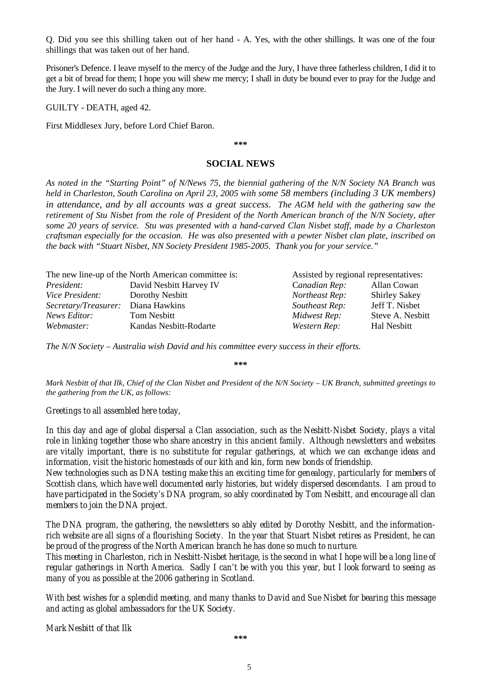Q. Did you see this shilling taken out of her hand - A. Yes, with the other shillings. It was one of the four shillings that was taken out of her hand.

Prisoner's Defence. I leave myself to the mercy of the Judge and the Jury, I have three fatherless children, I did it to get a bit of bread for them; I hope you will shew me mercy; I shall in duty be bound ever to pray for the Judge and the Jury. I will never do such a thing any more.

GUILTY - DEATH, aged 42.

First Middlesex Jury, before Lord Chief Baron.

**\*\*\*** 

### **SOCIAL NEWS**

*As noted in the "Starting Point" of N/News 75, the biennial gathering of the N/N Society NA Branch was held in Charleston, South Carolina on April 23, 2005 with some 58 members (including 3 UK members) in attendance, and by all accounts was a great success. The AGM held with the gathering saw the retirement of Stu Nisbet from the role of President of the North American branch of the N/N Society, after some 20 years of service. Stu was presented with a hand-carved Clan Nisbet staff, made by a Charleston craftsman especially for the occasion. He was also presented with a pewter Nisbet clan plate, inscribed on the back with "Stuart Nisbet, NN Society President 1985-2005. Thank you for your service."* 

| The new line-up of the North American committee is: |                         | Assisted by regional representatives: |                      |
|-----------------------------------------------------|-------------------------|---------------------------------------|----------------------|
| <i>President:</i>                                   | David Nesbitt Harvey IV | Canadian Rep:                         | Allan Cowan          |
| <i>Vice President:</i>                              | Dorothy Nesbitt         | Northeast Rep:                        | <b>Shirley Sakey</b> |
| <i>Secretary/Treasurer:</i> Diana Hawkins           |                         | Southeast Rep:                        | Jeff T. Nisbet       |
| News Editor:                                        | <b>Tom Nesbitt</b>      | Midwest Rep:                          | Steve A. Nesbitt     |
| Webmaster:                                          | Kandas Nesbitt-Rodarte  | Western Rep:                          | Hal Nesbitt          |

*The N/N Society – Australia wish David and his committee every success in their efforts.* 

**\*\*\*** 

*Mark Nesbitt of that Ilk, Chief of the Clan Nisbet and President of the N/N Society – UK Branch, submitted greetings to the gathering from the UK, as follows:* 

# *Greetings to all assembled here today,*

*In this day and age of global dispersal a Clan association, such as the Nesbitt-Nisbet Society, plays a vital role in linking together those who share ancestry in this ancient family. Although newsletters and websites are vitally important, there is no substitute for regular gatherings, at which we can exchange ideas and information, visit the historic homesteads of our kith and kin, form new bonds of friendship.* 

*New technologies such as DNA testing make this an exciting time for genealogy, particularly for members of Scottish clans, which have well documented early histories, but widely dispersed descendants. I am proud to have participated in the Society's DNA program, so ably coordinated by Tom Nesbitt, and encourage all clan members to join the DNA project.* 

*The DNA program, the gathering, the newsletters so ably edited by Dorothy Nesbitt, and the informationrich website are all signs of a flourishing Society. In the year that Stuart Nisbet retires as President, he can be proud of the progress of the North American branch he has done so much to nurture.* 

*This meeting in Charleston, rich in Nesbitt-Nisbet heritage, is the second in what I hope will be a long line of regular gatherings in North America. Sadly I can't be with you this year, but I look forward to seeing as many of you as possible at the 2006 gathering in Scotland.* 

*With best wishes for a splendid meeting, and many thanks to David and Sue Nisbet for bearing this message and acting as global ambassadors for the UK Society.* 

*Mark Nesbitt of that Ilk*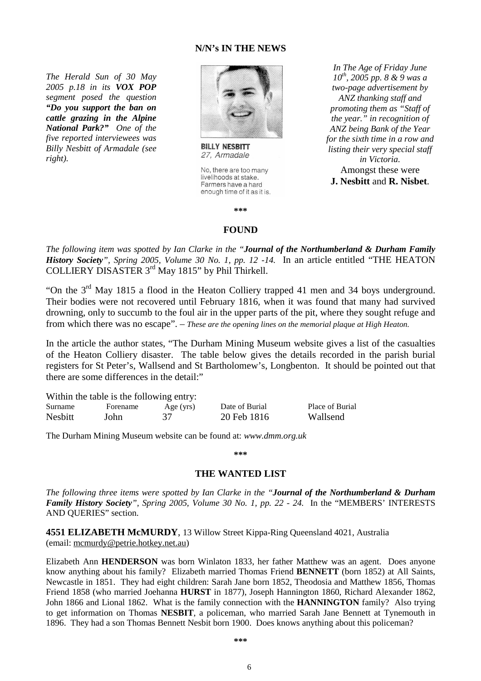# **N/N's IN THE NEWS**

*The Herald Sun of 30 May 2005 p.18 in its VOX POP segment posed the question "Do you support the ban on cattle grazing in the Alpine National Park?" One of the five reported interviewees was Billy Nesbitt of Armadale (see right).* 



**BILLY NESBITT** 27, Armadale

No, there are too many livelihoods at stake. Farmers have a hard enough time of it as it is.

*In The Age of Friday June 10th, 2005 pp. 8 & 9 was a two-page advertisement by ANZ thanking staff and promoting them as "Staff of the year." in recognition of ANZ being Bank of the Year for the sixth time in a row and listing their very special staff in Victoria.*  Amongst these were **J. Nesbitt** and **R. Nisbet**.

**\*\*\*** 

### **FOUND**

*The following item was spotted by Ian Clarke in the "Journal of the Northumberland & Durham Family History Society", Spring 2005, Volume 30 No. 1, pp. 12 -14.* In an article entitled "THE HEATON COLLIERY DISASTER 3rd May 1815" by Phil Thirkell.

"On the 3rd May 1815 a flood in the Heaton Colliery trapped 41 men and 34 boys underground. Their bodies were not recovered until February 1816, when it was found that many had survived drowning, only to succumb to the foul air in the upper parts of the pit, where they sought refuge and from which there was no escape". – *These are the opening lines on the memorial plaque at High Heaton.*

In the article the author states, "The Durham Mining Museum website gives a list of the casualties of the Heaton Colliery disaster. The table below gives the details recorded in the parish burial registers for St Peter's, Wallsend and St Bartholomew's, Longbenton. It should be pointed out that there are some differences in the detail:"

|         | Within the table is the following entry: |           |            |
|---------|------------------------------------------|-----------|------------|
| Surname | Forename                                 | Age (yrs) | Date of Bu |

Surname Forename Age (yrs) Date of Burial Place of Burial Nesbitt John 37 20 Feb 1816 Wallsend

The Durham Mining Museum website can be found at: *www.dmm.org.uk* 

**\*\*\***

# **THE WANTED LIST**

*The following three items were spotted by Ian Clarke in the "Journal of the Northumberland & Durham Family History Society", Spring 2005, Volume 30 No. 1, pp. 22 - 24.* In the "MEMBERS' INTERESTS AND QUERIES" section.

**4551 ELIZABETH McMURDY**, 13 Willow Street Kippa-Ring Queensland 4021, Australia (email: mcmurdy@petrie.hotkey.net.au)

Elizabeth Ann **HENDERSON** was born Winlaton 1833, her father Matthew was an agent. Does anyone know anything about his family? Elizabeth married Thomas Friend **BENNETT** (born 1852) at All Saints, Newcastle in 1851. They had eight children: Sarah Jane born 1852, Theodosia and Matthew 1856, Thomas Friend 1858 (who married Joehanna **HURST** in 1877), Joseph Hannington 1860, Richard Alexander 1862, John 1866 and Lional 1862. What is the family connection with the **HANNINGTON** family? Also trying to get information on Thomas **NESBIT**, a policeman, who married Sarah Jane Bennett at Tynemouth in 1896. They had a son Thomas Bennett Nesbit born 1900. Does knows anything about this policeman?

6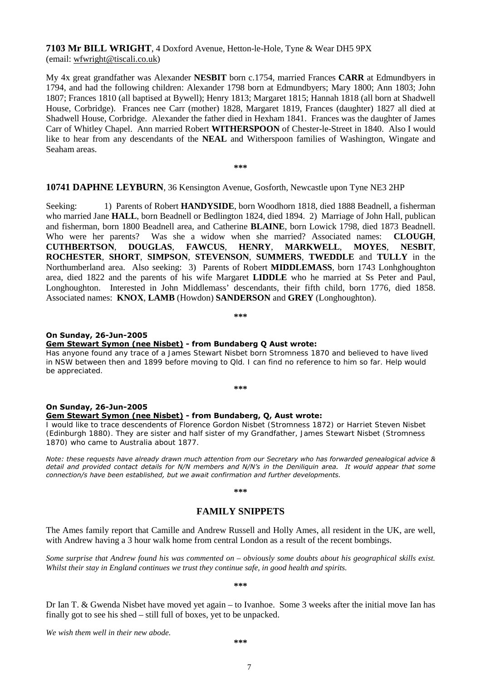**7103 Mr BILL WRIGHT**, 4 Doxford Avenue, Hetton-le-Hole, Tyne & Wear DH5 9PX (email: wfwright@tiscali.co.uk)

My 4x great grandfather was Alexander **NESBIT** born c.1754, married Frances **CARR** at Edmundbyers in 1794, and had the following children: Alexander 1798 born at Edmundbyers; Mary 1800; Ann 1803; John 1807; Frances 1810 (all baptised at Bywell); Henry 1813; Margaret 1815; Hannah 1818 (all born at Shadwell House, Corbridge). Frances nee Carr (mother) 1828, Margaret 1819, Frances (daughter) 1827 all died at Shadwell House, Corbridge. Alexander the father died in Hexham 1841. Frances was the daughter of James Carr of Whitley Chapel. Ann married Robert **WITHERSPOON** of Chester-le-Street in 1840. Also I would like to hear from any descendants of the **NEAL** and Witherspoon families of Washington, Wingate and Seaham areas.

**\*\*\***

### **10741 DAPHNE LEYBURN**, 36 Kensington Avenue, Gosforth, Newcastle upon Tyne NE3 2HP

Seeking: 1) Parents of Robert **HANDYSIDE**, born Woodhorn 1818, died 1888 Beadnell, a fisherman who married Jane **HALL**, born Beadnell or Bedlington 1824, died 1894. 2) Marriage of John Hall, publican and fisherman, born 1800 Beadnell area, and Catherine **BLAINE**, born Lowick 1798, died 1873 Beadnell. Who were her parents? Was she a widow when she married? Associated names: **CLOUGH**, **CUTHBERTSON**, **DOUGLAS**, **FAWCUS**, **HENRY**, **MARKWELL**, **MOYES**, **NESBIT**, **ROCHESTER**, **SHORT**, **SIMPSON**, **STEVENSON**, **SUMMERS**, **TWEDDLE** and **TULLY** in the Northumberland area. Also seeking: 3) Parents of Robert **MIDDLEMASS**, born 1743 Lonhghoughton area, died 1822 and the parents of his wife Margaret **LIDDLE** who he married at Ss Peter and Paul, Longhoughton. Interested in John Middlemass' descendants, their fifth child, born 1776, died 1858. Associated names: **KNOX**, **LAMB** (Howdon) **SANDERSON** and **GREY** (Longhoughton).

**\*\*\***

#### **On Sunday, 26-Jun-2005**

#### **Gem Stewart Symon (nee Nisbet) - from Bundaberg Q Aust wrote:**

Has anyone found any trace of a James Stewart Nisbet born Stromness 1870 and believed to have lived in NSW between then and 1899 before moving to Qld. I can find no reference to him so far. Help would be appreciated.

**\*\*\***

#### **On Sunday, 26-Jun-2005 Gem Stewart Symon (nee Nisbet) - from Bundaberg, Q, Aust wrote:**

I would like to trace descendents of Florence Gordon Nisbet (Stromness 1872) or Harriet Steven Nisbet (Edinburgh 1880). They are sister and half sister of my Grandfather, James Stewart Nisbet (Stromness 1870) who came to Australia about 1877.

*Note: these requests have already drawn much attention from our Secretary who has forwarded genealogical advice &*  detail and provided contact details for N/N members and N/N's in the Deniliquin area. It would appear that some *connection/s have been established, but we await confirmation and further developments.* 

**\*\*\*** 

# **FAMILY SNIPPETS**

The Ames family report that Camille and Andrew Russell and Holly Ames, all resident in the UK, are well, with Andrew having a 3 hour walk home from central London as a result of the recent bombings.

*Some surprise that Andrew found his was commented on – obviously some doubts about his geographical skills exist. Whilst their stay in England continues we trust they continue safe, in good health and spirits.* 

**\*\*\*** 

Dr Ian T. & Gwenda Nisbet have moved yet again – to Ivanhoe. Some 3 weeks after the initial move Ian has finally got to see his shed – still full of boxes, yet to be unpacked.

*We wish them well in their new abode.* 

7